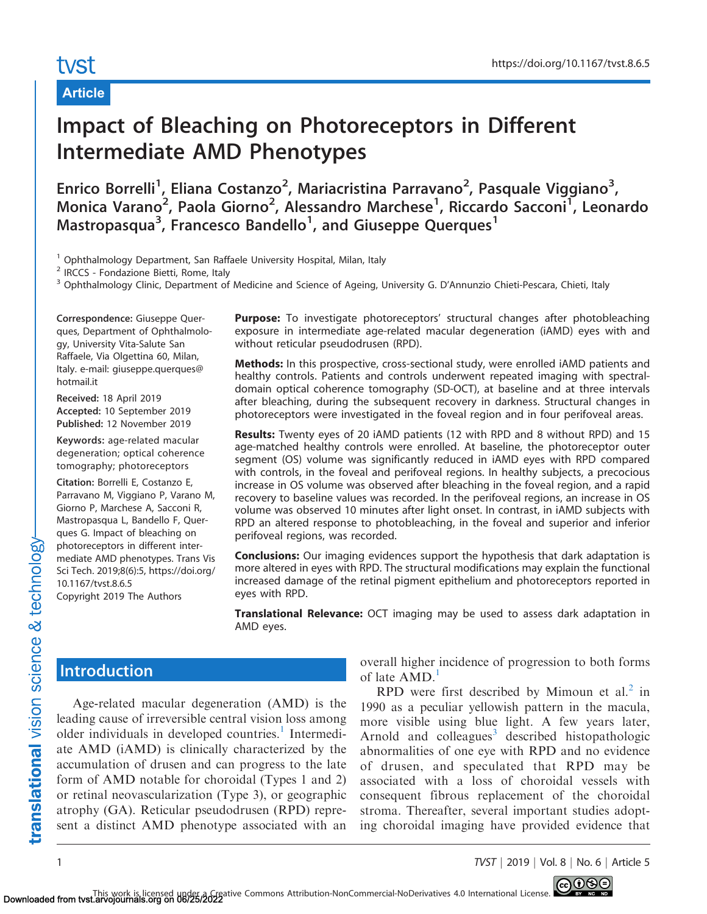# tyst

Article

# Impact of Bleaching on Photoreceptors in Different Intermediate AMD Phenotypes

Enrico Borrelli<sup>1</sup>, Eliana Costanzo<sup>2</sup>, Mariacristina Parravano<sup>2</sup>, Pasquale Viggiano<sup>3</sup>, Monica Varano<sup>2</sup>, Paola Giorno<sup>2</sup>, Alessandro Marchese<sup>1</sup>, Riccardo Sacconi<sup>1</sup>, Leonardo Mastropasqua<sup>3</sup>, Francesco Bandello<sup>1</sup>, and Giuseppe Querques<sup>1</sup>

<sup>1</sup> Ophthalmology Department, San Raffaele University Hospital, Milan, Italy

<sup>2</sup> IRCCS - Fondazione Bietti, Rome, Italy

<sup>3</sup> Ophthalmology Clinic, Department of Medicine and Science of Ageing, University G. D'Annunzio Chieti-Pescara, Chieti, Italy

Correspondence: Giuseppe Querques, Department of Ophthalmology, University Vita-Salute San Raffaele, Via Olgettina 60, Milan, Italy. e-mail: giuseppe.querques@ hotmail.it

Received: 18 April 2019 Accepted: 10 September 2019 Published: 12 November 2019

Keywords: age-related macular degeneration; optical coherence tomography; photoreceptors

Citation: Borrelli E, Costanzo E, Parravano M, Viggiano P, Varano M, Giorno P, Marchese A, Sacconi R, Mastropasqua L, Bandello F, Querques G. Impact of bleaching on photoreceptors in different intermediate AMD phenotypes. Trans Vis Sci Tech. 2019;8(6):5, https://doi.org/ 10.1167/tvst.8.6.5

Copyright 2019 The Authors

Purpose: To investigate photoreceptors' structural changes after photobleaching exposure in intermediate age-related macular degeneration (iAMD) eyes with and without reticular pseudodrusen (RPD).

Methods: In this prospective, cross-sectional study, were enrolled iAMD patients and healthy controls. Patients and controls underwent repeated imaging with spectraldomain optical coherence tomography (SD-OCT), at baseline and at three intervals after bleaching, during the subsequent recovery in darkness. Structural changes in photoreceptors were investigated in the foveal region and in four perifoveal areas.

Results: Twenty eyes of 20 iAMD patients (12 with RPD and 8 without RPD) and 15 age-matched healthy controls were enrolled. At baseline, the photoreceptor outer segment (OS) volume was significantly reduced in iAMD eyes with RPD compared with controls, in the foveal and perifoveal regions. In healthy subjects, a precocious increase in OS volume was observed after bleaching in the foveal region, and a rapid recovery to baseline values was recorded. In the perifoveal regions, an increase in OS volume was observed 10 minutes after light onset. In contrast, in iAMD subjects with RPD an altered response to photobleaching, in the foveal and superior and inferior perifoveal regions, was recorded.

**Conclusions:** Our imaging evidences support the hypothesis that dark adaptation is more altered in eyes with RPD. The structural modifications may explain the functional increased damage of the retinal pigment epithelium and photoreceptors reported in eyes with RPD.

Translational Relevance: OCT imaging may be used to assess dark adaptation in AMD eyes.

# Introduction

Age-related macular degeneration (AMD) is the leading cause of irreversible central vision loss among older individuals in developed countries.<sup>1</sup> Intermediate AMD (iAMD) is clinically characterized by the accumulation of drusen and can progress to the late form of AMD notable for choroidal (Types 1 and 2) or retinal neovascularization (Type 3), or geographic atrophy (GA). Reticular pseudodrusen (RPD) represent a distinct AMD phenotype associated with an

overall higher incidence of progression to both forms of late AMD.<sup>1</sup>

RPD were first described by Mimoun et al. $<sup>2</sup>$  $<sup>2</sup>$  $<sup>2</sup>$  in</sup> 1990 as a peculiar yellowish pattern in the macula, more visible using blue light. A few years later, Arnold and colleagues $3$  described histopathologic abnormalities of one eye with RPD and no evidence of drusen, and speculated that RPD may be associated with a loss of choroidal vessels with consequent fibrous replacement of the choroidal stroma. Thereafter, several important studies adopting choroidal imaging have provided evidence that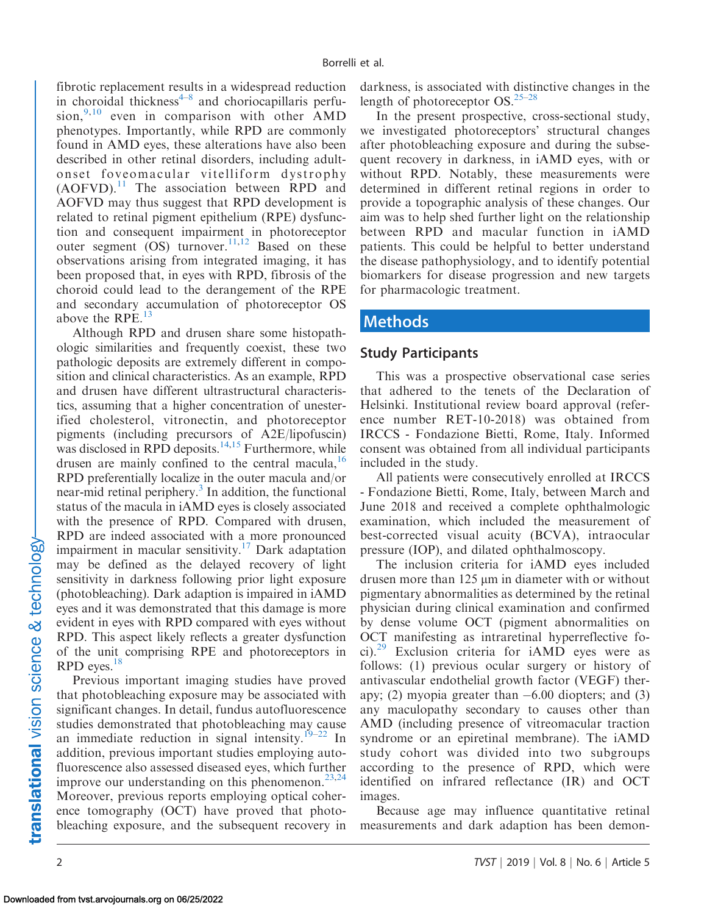fibrotic replacement results in a widespread reduction in choroidal thickness $4-8$  and choriocapillaris perfu- $sion,^{9,10}$  $sion,^{9,10}$  $sion,^{9,10}$  even in comparison with other AMD phenotypes. Importantly, while RPD are commonly found in AMD eyes, these alterations have also been described in other retinal disorders, including adultonset foveomacular vitelliform dystrophy  $(AOFVD).$ <sup>[11](#page-9-0)</sup> The association between RPD and AOFVD may thus suggest that RPD development is related to retinal pigment epithelium (RPE) dysfunction and consequent impairment in photoreceptor outer segment  $(OS)$  turnover.<sup>11,12</sup> Based on these observations arising from integrated imaging, it has been proposed that, in eyes with RPD, fibrosis of the choroid could lead to the derangement of the RPE and secondary accumulation of photoreceptor OS above the RPE. $^{13}$  $^{13}$  $^{13}$ 

Although RPD and drusen share some histopathologic similarities and frequently coexist, these two pathologic deposits are extremely different in composition and clinical characteristics. As an example, RPD and drusen have different ultrastructural characteristics, assuming that a higher concentration of unesterified cholesterol, vitronectin, and photoreceptor pigments (including precursors of A2E/lipofuscin) was disclosed in RPD deposits.<sup>14,15</sup> Furthermore, while drusen are mainly confined to the central macula,  $16$ RPD preferentially localize in the outer macula and/or near-mid retinal periphery.<sup>3</sup> In addition, the functional status of the macula in iAMD eyes is closely associated with the presence of RPD. Compared with drusen, RPD are indeed associated with a more pronounced impairment in macular sensitivity.<sup>17</sup> Dark adaptation may be defined as the delayed recovery of light sensitivity in darkness following prior light exposure (photobleaching). Dark adaption is impaired in iAMD eyes and it was demonstrated that this damage is more evident in eyes with RPD compared with eyes without RPD. This aspect likely reflects a greater dysfunction of the unit comprising RPE and photoreceptors in RPD eyes[.18](#page-9-0)

Previous important imaging studies have proved that photobleaching exposure may be associated with significant changes. In detail, fundus autofluorescence studies demonstrated that photobleaching may cause an immediate reduction in signal intensity.<sup>19[–22](#page-10-0)</sup> In addition, previous important studies employing autofluorescence also assessed diseased eyes, which further improve our understanding on this phenomenon.  $23,24$ Moreover, previous reports employing optical coherence tomography (OCT) have proved that photobleaching exposure, and the subsequent recovery in darkness, is associated with distinctive changes in the length of photoreceptor  $OS.<sup>25-28</sup>$ 

In the present prospective, cross-sectional study, we investigated photoreceptors' structural changes after photobleaching exposure and during the subsequent recovery in darkness, in iAMD eyes, with or without RPD. Notably, these measurements were determined in different retinal regions in order to provide a topographic analysis of these changes. Our aim was to help shed further light on the relationship between RPD and macular function in iAMD patients. This could be helpful to better understand the disease pathophysiology, and to identify potential biomarkers for disease progression and new targets for pharmacologic treatment.

## Methods

#### Study Participants

This was a prospective observational case series that adhered to the tenets of the Declaration of Helsinki. Institutional review board approval (reference number RET-10-2018) was obtained from IRCCS - Fondazione Bietti, Rome, Italy. Informed consent was obtained from all individual participants included in the study.

All patients were consecutively enrolled at IRCCS - Fondazione Bietti, Rome, Italy, between March and June 2018 and received a complete ophthalmologic examination, which included the measurement of best-corrected visual acuity (BCVA), intraocular pressure (IOP), and dilated ophthalmoscopy.

The inclusion criteria for iAMD eyes included drusen more than  $125 \mu m$  in diameter with or without pigmentary abnormalities as determined by the retinal physician during clinical examination and confirmed by dense volume OCT (pigment abnormalities on OCT manifesting as intraretinal hyperreflective foci).[29](#page-10-0) Exclusion criteria for iAMD eyes were as follows: (1) previous ocular surgery or history of antivascular endothelial growth factor (VEGF) therapy; (2) myopia greater than -6.00 diopters; and (3) any maculopathy secondary to causes other than AMD (including presence of vitreomacular traction syndrome or an epiretinal membrane). The iAMD study cohort was divided into two subgroups according to the presence of RPD, which were identified on infrared reflectance (IR) and OCT images.

Because age may influence quantitative retinal measurements and dark adaption has been demon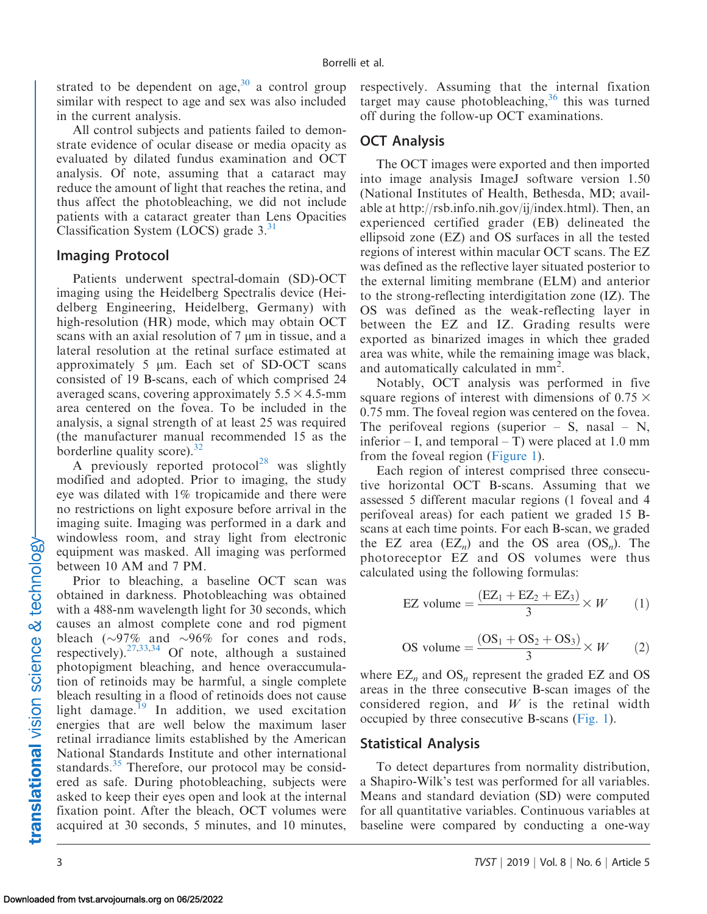strated to be dependent on age,  $30$  a control group similar with respect to age and sex was also included in the current analysis.

All control subjects and patients failed to demonstrate evidence of ocular disease or media opacity as evaluated by dilated fundus examination and OCT analysis. Of note, assuming that a cataract may reduce the amount of light that reaches the retina, and thus affect the photobleaching, we did not include patients with a cataract greater than Lens Opacities Classification System (LOCS) grade  $3<sup>31</sup>$  $3<sup>31</sup>$  $3<sup>31</sup>$ 

#### Imaging Protocol

Patients underwent spectral-domain (SD)-OCT imaging using the Heidelberg Spectralis device (Heidelberg Engineering, Heidelberg, Germany) with high-resolution (HR) mode, which may obtain OCT scans with an axial resolution of 7  $\mu$ m in tissue, and a lateral resolution at the retinal surface estimated at approximately 5  $\mu$ m. Each set of SD-OCT scans consisted of 19 B-scans, each of which comprised 24 averaged scans, covering approximately  $5.5 \times 4.5$ -mm area centered on the fovea. To be included in the analysis, a signal strength of at least 25 was required (the manufacturer manual recommended 15 as the borderline quality score). $32$ 

A previously reported protocol<sup>[28](#page-10-0)</sup> was slightly modified and adopted. Prior to imaging, the study eye was dilated with 1% tropicamide and there were no restrictions on light exposure before arrival in the imaging suite. Imaging was performed in a dark and windowless room, and stray light from electronic equipment was masked. All imaging was performed between 10 AM and 7 PM.

Prior to bleaching, a baseline OCT scan was obtained in darkness. Photobleaching was obtained with a 488-nm wavelength light for 30 seconds, which causes an almost complete cone and rod pigment bleach  $(\sim)97\%$  and  $\sim$ 96% for cones and rods, respectively).<sup>[27,33](#page-10-0),[34](#page-10-0)</sup> Of note, although a sustained photopigment bleaching, and hence overaccumulation of retinoids may be harmful, a single complete bleach resulting in a flood of retinoids does not cause light damage.<sup>[19](#page-9-0)</sup> In addition, we used excitation energies that are well below the maximum laser retinal irradiance limits established by the American National Standards Institute and other international standards. $35$  Therefore, our protocol may be considered as safe. During photobleaching, subjects were asked to keep their eyes open and look at the internal fixation point. After the bleach, OCT volumes were acquired at 30 seconds, 5 minutes, and 10 minutes,

translational vision science & technology

respectively. Assuming that the internal fixation target may cause photobleaching,  $36$  this was turned off during the follow-up OCT examinations.

## OCT Analysis

The OCT images were exported and then imported into image analysis ImageJ software version 1.50 (National Institutes of Health, Bethesda, MD; available at http://rsb.info.nih.gov/ij/index.html). Then, an experienced certified grader (EB) delineated the ellipsoid zone (EZ) and OS surfaces in all the tested regions of interest within macular OCT scans. The EZ was defined as the reflective layer situated posterior to the external limiting membrane (ELM) and anterior to the strong-reflecting interdigitation zone (IZ). The OS was defined as the weak-reflecting layer in between the EZ and IZ. Grading results were exported as binarized images in which thee graded area was white, while the remaining image was black, and automatically calculated in mm<sup>2</sup>.

Notably, OCT analysis was performed in five square regions of interest with dimensions of  $0.75 \times$ 0.75 mm. The foveal region was centered on the fovea. The perifoveal regions (superior  $-$  S, nasal  $-$  N, inferior  $- I$ , and temporal  $- T$ ) were placed at 1.0 mm from the foveal region ([Figure 1\)](#page-3-0).

Each region of interest comprised three consecutive horizontal OCT B-scans. Assuming that we assessed 5 different macular regions (1 foveal and 4 perifoveal areas) for each patient we graded 15 Bscans at each time points. For each B-scan, we graded the EZ area  $(EZ_n)$  and the OS area  $(OS_n)$ . The photoreceptor EZ and OS volumes were thus calculated using the following formulas:

$$
EZ \text{ volume} = \frac{(EZ_1 + EZ_2 + EZ_3)}{3} \times W \qquad (1)
$$

OS volume = 
$$
\frac{(OS_1 + OS_2 + OS_3)}{3} \times W
$$
 (2)

where  $EZ_n$  and  $OS_n$  represent the graded EZ and OS areas in the three consecutive B-scan images of the considered region, and  $W$  is the retinal width occupied by three consecutive B-scans ([Fig. 1\)](#page-3-0).

#### Statistical Analysis

To detect departures from normality distribution, a Shapiro-Wilk's test was performed for all variables. Means and standard deviation (SD) were computed for all quantitative variables. Continuous variables at baseline were compared by conducting a one-way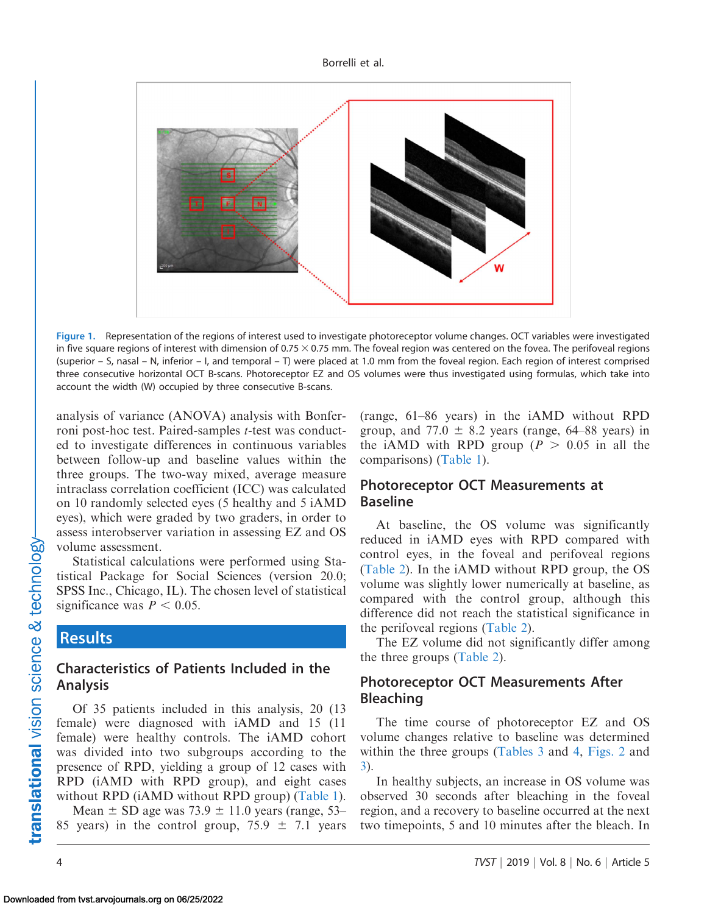Borrelli et al.

<span id="page-3-0"></span>

Figure 1. Representation of the regions of interest used to investigate photoreceptor volume changes. OCT variables were investigated in five square regions of interest with dimension of 0.75  $\times$  0.75 mm. The foveal region was centered on the fovea. The perifoveal regions (superior – S, nasal – N, inferior – I, and temporal – T) were placed at 1.0 mm from the foveal region. Each region of interest comprised three consecutive horizontal OCT B-scans. Photoreceptor EZ and OS volumes were thus investigated using formulas, which take into account the width (W) occupied by three consecutive B-scans.

analysis of variance (ANOVA) analysis with Bonferroni post-hoc test. Paired-samples *t*-test was conducted to investigate differences in continuous variables between follow-up and baseline values within the three groups. The two-way mixed, average measure intraclass correlation coefficient (ICC) was calculated on 10 randomly selected eyes (5 healthy and 5 iAMD eyes), which were graded by two graders, in order to assess interobserver variation in assessing EZ and OS volume assessment.

Statistical calculations were performed using Statistical Package for Social Sciences (version 20.0; SPSS Inc., Chicago, IL). The chosen level of statistical significance was  $P < 0.05$ .

### Results

## Characteristics of Patients Included in the Analysis

Of 35 patients included in this analysis, 20 (13 female) were diagnosed with iAMD and 15 (11 female) were healthy controls. The iAMD cohort was divided into two subgroups according to the presence of RPD, yielding a group of 12 cases with RPD (iAMD with RPD group), and eight cases without RPD (iAMD without RPD group) [\(Table 1](#page-4-0)).

Mean  $\pm$  SD age was 73.9  $\pm$  11.0 years (range, 53– 85 years) in the control group,  $75.9 \pm 7.1$  years (range, 61–86 years) in the iAMD without RPD group, and  $77.0 \pm 8.2$  years (range, 64–88 years) in the iAMD with RPD group ( $P > 0.05$  in all the comparisons) ([Table 1\)](#page-4-0).

## Photoreceptor OCT Measurements at Baseline

At baseline, the OS volume was significantly reduced in iAMD eyes with RPD compared with control eyes, in the foveal and perifoveal regions ([Table 2](#page-4-0)). In the iAMD without RPD group, the OS volume was slightly lower numerically at baseline, as compared with the control group, although this difference did not reach the statistical significance in the perifoveal regions [\(Table 2\)](#page-4-0).

The EZ volume did not significantly differ among the three groups ([Table 2](#page-4-0)).

## Photoreceptor OCT Measurements After Bleaching

The time course of photoreceptor EZ and OS volume changes relative to baseline was determined within the three groups ([Tables 3](#page-5-0) and [4](#page-5-0), [Figs. 2](#page-6-0) and [3](#page-7-0)).

In healthy subjects, an increase in OS volume was observed 30 seconds after bleaching in the foveal region, and a recovery to baseline occurred at the next two timepoints, 5 and 10 minutes after the bleach. In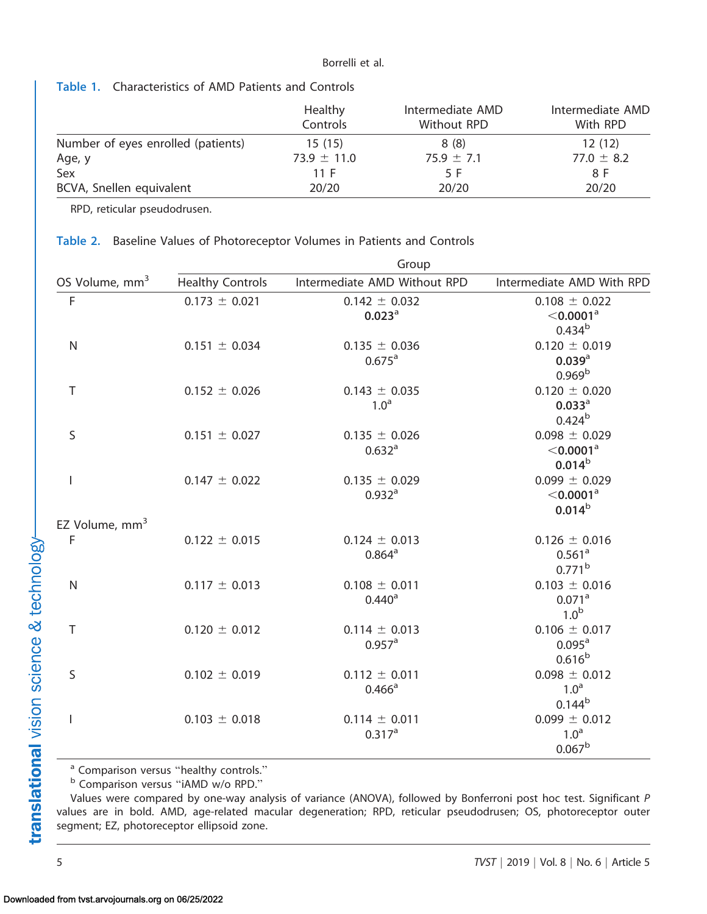## <span id="page-4-0"></span>Table 1. Characteristics of AMD Patients and Controls

|                                    | <b>Healthy</b><br>Controls | Intermediate AMD<br>Without RPD | Intermediate AMD<br>With RPD |
|------------------------------------|----------------------------|---------------------------------|------------------------------|
| Number of eyes enrolled (patients) | 15(15)                     | 8(8)                            | 12(12)                       |
| Age, y                             | $73.9 \pm 11.0$            | $75.9 \pm 7.1$                  | 77.0 $\pm$ 8.2               |
| Sex                                | 11 F                       | 5 F                             | 8 F                          |
| BCVA, Snellen equivalent           | 20/20                      | 20/20                           | 20/20                        |

RPD, reticular pseudodrusen.

#### Table 2. Baseline Values of Photoreceptor Volumes in Patients and Controls

|                            | Group                   |                                           |                                                                 |  |  |
|----------------------------|-------------------------|-------------------------------------------|-----------------------------------------------------------------|--|--|
| OS Volume, mm <sup>3</sup> | <b>Healthy Controls</b> | Intermediate AMD Without RPD              | Intermediate AMD With RPD                                       |  |  |
| $\overline{F}$             | $0.173 \pm 0.021$       | $0.142 \pm 0.032$<br>$0.023^{\circ}$      | $0.108 \pm 0.022$<br>$<$ 0.0001 $^{\circ}$<br>$0.434^{b}$       |  |  |
| $\mathsf{N}$               | $0.151 \pm 0.034$       | $0.135 \pm 0.036$<br>$0.675^{\circ}$      | $0.120 \pm 0.019$<br>$0.039$ <sup>a</sup><br>0.969 <sup>b</sup> |  |  |
| T                          | $0.152 \pm 0.026$       | $0.143 \pm 0.035$<br>1.0 <sup>a</sup>     | $0.120 \pm 0.020$<br>$0.033^a$<br>$0.424^{b}$                   |  |  |
| $\sf S$                    | $0.151 \pm 0.027$       | $0.135 \pm 0.026$<br>0.632 <sup>a</sup>   | $0.098 \pm 0.029$<br>$<$ 0.0001 $^{\circ}$<br>$0.014^{b}$       |  |  |
|                            | $0.147 \pm 0.022$       | $0.135 \pm 0.029$<br>$0.932$ <sup>a</sup> | $0.099 \pm 0.029$<br>$<$ 0.0001 $^{\circ}$<br>$0.014^{b}$       |  |  |
| EZ Volume, mm <sup>3</sup> |                         |                                           |                                                                 |  |  |
| F                          | $0.122 \pm 0.015$       | $0.124 \pm 0.013$<br>$0.864^{\circ}$      | $0.126 \pm 0.016$<br>0.561 <sup>a</sup><br>0.771 <sup>b</sup>   |  |  |
| $\mathsf{N}$               | $0.117 \pm 0.013$       | $0.108 \pm 0.011$<br>$0.440^{\circ}$      | $0.103 \pm 0.016$<br>$0.071$ <sup>a</sup><br>1.0 <sup>b</sup>   |  |  |
| T                          | $0.120 \pm 0.012$       | $0.114 \pm 0.013$<br>$0.957$ <sup>a</sup> | $0.106 \pm 0.017$<br>$0.095^{\text{a}}$<br>$0.616^{b}$          |  |  |
| S                          | $0.102 \pm 0.019$       | $0.112 \pm 0.011$<br>$0.466^{\circ}$      | $0.098 \pm 0.012$<br>1.0 <sup>a</sup><br>$0.144^{b}$            |  |  |
|                            | $0.103 \pm 0.018$       | $0.114 \pm 0.011$<br>$0.317^{a}$          | $0.099 \pm 0.012$<br>1.0 <sup>a</sup><br>$0.067^b$              |  |  |

<sup>a</sup> Comparison versus "healthy controls."<br><sup>b</sup> Comparison versus "iAMD w/o RPD."

Values were compared by one-way analysis of variance (ANOVA), followed by Bonferroni post hoc test. Significant P values are in bold. AMD, age-related macular degeneration; RPD, reticular pseudodrusen; OS, photoreceptor outer segment; EZ, photoreceptor ellipsoid zone.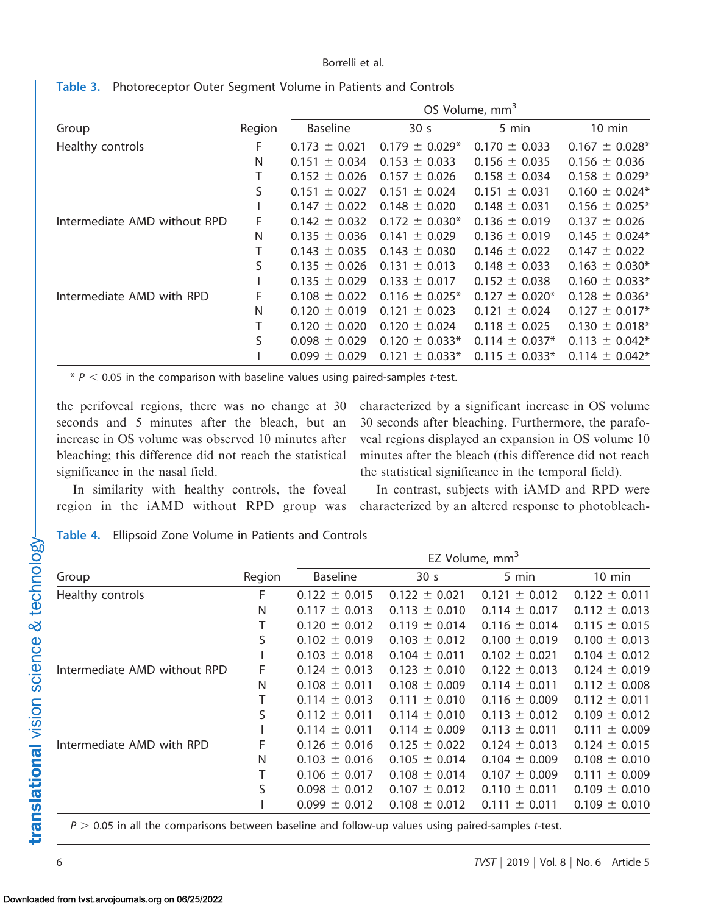Borrelli et al.

|                              |        | OS Volume, mm <sup>3</sup> |                     |                    |                     |
|------------------------------|--------|----------------------------|---------------------|--------------------|---------------------|
| Group                        | Region | <b>Baseline</b>            | 30 <sub>s</sub>     | 5 min              | $10 \text{ min}$    |
| Healthy controls             | F      | $0.173 \pm 0.021$          | $0.179 \pm 0.029*$  | $0.170 \pm 0.033$  | $0.167 \pm 0.028*$  |
|                              | N      | $0.151 \pm 0.034$          | $0.153 \pm 0.033$   | $0.156 \pm 0.035$  | $0.156 \pm 0.036$   |
|                              |        | $0.152 \pm 0.026$          | $0.157 \pm 0.026$   | $0.158 \pm 0.034$  | $0.158 \pm 0.029*$  |
|                              | S      | $0.151 \pm 0.027$          | $0.151 \pm 0.024$   | $0.151 \pm 0.031$  | $0.160 \pm 0.024*$  |
|                              |        | $0.147 \pm 0.022$          | $0.148 \pm 0.020$   | $0.148 \pm 0.031$  | $0.156 \pm 0.025^*$ |
| Intermediate AMD without RPD | F      | $0.142 \pm 0.032$          | $0.172 \pm 0.030*$  | $0.136 \pm 0.019$  | $0.137 \pm 0.026$   |
|                              | N      | $0.135 \pm 0.036$          | $0.141 \pm 0.029$   | $0.136 \pm 0.019$  | $0.145 \pm 0.024*$  |
|                              |        | $0.143 \pm 0.035$          | $0.143 \pm 0.030$   | $0.146 \pm 0.022$  | $0.147 \pm 0.022$   |
|                              | S      | $0.135 \pm 0.026$          | $0.131 \pm 0.013$   | $0.148 \pm 0.033$  | $0.163 \pm 0.030*$  |
|                              |        | $0.135 \pm 0.029$          | $0.133 \pm 0.017$   | $0.152 \pm 0.038$  | $0.160 \pm 0.033*$  |
| Intermediate AMD with RPD    | F      | $0.108 \pm 0.022$          | $0.116 \pm 0.025$ * | $0.127 \pm 0.020*$ | $0.128 \pm 0.036*$  |
|                              | N      | $0.120 \pm 0.019$          | $0.121 \pm 0.023$   | $0.121 \pm 0.024$  | $0.127 \pm 0.017*$  |
|                              |        | $0.120 \pm 0.020$          | $0.120 \pm 0.024$   | $0.118 \pm 0.025$  | $0.130 \pm 0.018*$  |
|                              | S.     | $0.098 \pm 0.029$          | $0.120 \pm 0.033*$  | $0.114 \pm 0.037*$ | $0.113 \pm 0.042*$  |
|                              |        | $0.099 \pm 0.029$          | $0.121 \pm 0.033*$  | $0.115 \pm 0.033*$ | $0.114 \pm 0.042*$  |

<span id="page-5-0"></span>Table 3. Photoreceptor Outer Segment Volume in Patients and Controls

 $* P < 0.05$  in the comparison with baseline values using paired-samples t-test.

the perifoveal regions, there was no change at 30 seconds and 5 minutes after the bleach, but an increase in OS volume was observed 10 minutes after bleaching; this difference did not reach the statistical significance in the nasal field.

In similarity with healthy controls, the foveal region in the iAMD without RPD group was characterized by a significant increase in OS volume 30 seconds after bleaching. Furthermore, the parafoveal regions displayed an expansion in OS volume 10 minutes after the bleach (this difference did not reach the statistical significance in the temporal field).

In contrast, subjects with iAMD and RPD were characterized by an altered response to photobleach-

Table 4. Ellipsoid Zone Volume in Patients and Controls

|                              |        | EZ Volume, mm <sup>3</sup> |                   |                   |                   |
|------------------------------|--------|----------------------------|-------------------|-------------------|-------------------|
| Group                        | Region | <b>Baseline</b>            | 30 <sub>s</sub>   | 5 min             | 10 min            |
| Healthy controls             | F      | $0.122 \pm 0.015$          | $0.122 \pm 0.021$ | $0.121 \pm 0.012$ | $0.122 \pm 0.011$ |
|                              | N      | $0.117 \pm 0.013$          | $0.113 \pm 0.010$ | $0.114 \pm 0.017$ | $0.112 \pm 0.013$ |
|                              | Τ      | $0.120 \pm 0.012$          | $0.119 \pm 0.014$ | $0.116 \pm 0.014$ | $0.115 \pm 0.015$ |
|                              | S      | $0.102 \pm 0.019$          | $0.103 \pm 0.012$ | $0.100 \pm 0.019$ | $0.100 \pm 0.013$ |
|                              |        | $0.103 \pm 0.018$          | $0.104 \pm 0.011$ | $0.102 \pm 0.021$ | $0.104 \pm 0.012$ |
| Intermediate AMD without RPD | F      | $0.124 \pm 0.013$          | $0.123 \pm 0.010$ | $0.122 \pm 0.013$ | $0.124 \pm 0.019$ |
|                              | N      | $0.108 \pm 0.011$          | $0.108 \pm 0.009$ | $0.114 \pm 0.011$ | $0.112 \pm 0.008$ |
|                              | Τ      | $0.114 \pm 0.013$          | $0.111 \pm 0.010$ | $0.116 \pm 0.009$ | $0.112 \pm 0.011$ |
|                              | S      | $0.112 \pm 0.011$          | $0.114 \pm 0.010$ | $0.113 \pm 0.012$ | $0.109 \pm 0.012$ |
|                              |        | $0.114 \pm 0.011$          | $0.114 \pm 0.009$ | $0.113 \pm 0.011$ | $0.111 \pm 0.009$ |
| Intermediate AMD with RPD    | F      | $0.126 \pm 0.016$          | $0.125 \pm 0.022$ | $0.124 \pm 0.013$ | $0.124 \pm 0.015$ |
|                              | N      | $0.103 \pm 0.016$          | $0.105 \pm 0.014$ | $0.104 \pm 0.009$ | $0.108 \pm 0.010$ |
|                              | Τ      | $0.106 \pm 0.017$          | $0.108 \pm 0.014$ | $0.107 \pm 0.009$ | $0.111 \pm 0.009$ |
|                              | S      | $0.098 \pm 0.012$          | $0.107 \pm 0.012$ | $0.110 \pm 0.011$ | $0.109 \pm 0.010$ |
|                              |        | $0.099 \pm 0.012$          | $0.108 \pm 0.012$ | $0.111 \pm 0.011$ | $0.109 \pm 0.010$ |

 $P > 0.05$  in all the comparisons between baseline and follow-up values using paired-samples t-test.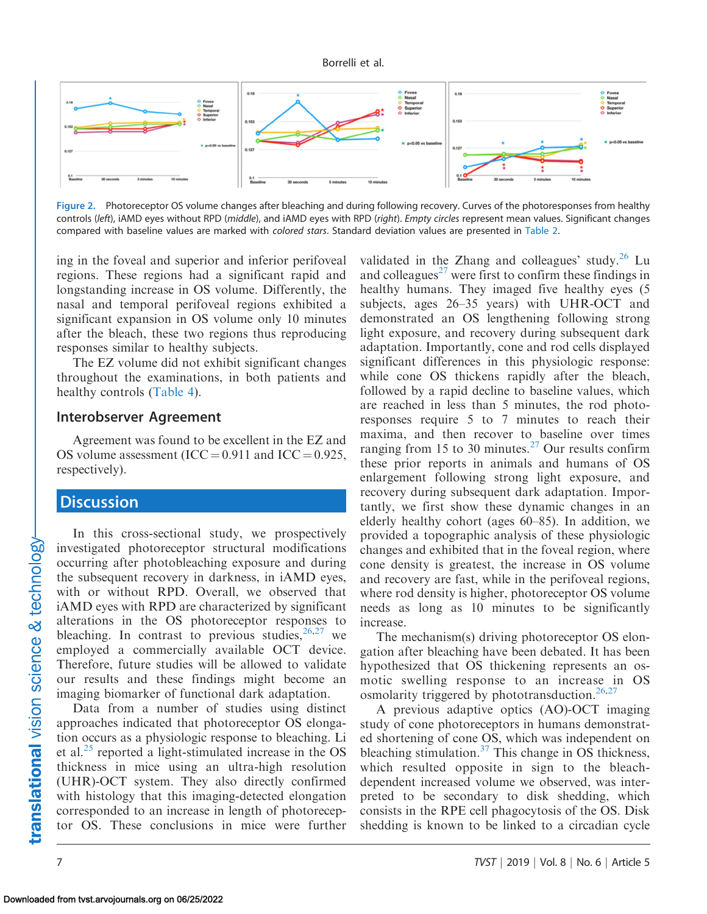<span id="page-6-0"></span>

Figure 2. Photoreceptor OS volume changes after bleaching and during following recovery. Curves of the photoresponses from healthy controls (left), iAMD eyes without RPD (middle), and iAMD eyes with RPD (right). Empty circles represent mean values. Significant changes compared with baseline values are marked with colored stars. Standard deviation values are presented in [Table 2](#page-4-0).

ing in the foveal and superior and inferior perifoveal regions. These regions had a significant rapid and longstanding increase in OS volume. Differently, the nasal and temporal perifoveal regions exhibited a significant expansion in OS volume only 10 minutes after the bleach, these two regions thus reproducing responses similar to healthy subjects.

The EZ volume did not exhibit significant changes throughout the examinations, in both patients and healthy controls [\(Table 4](#page-5-0)).

#### Interobserver Agreement

Agreement was found to be excellent in the EZ and OS volume assessment (ICC =  $0.911$  and ICC =  $0.925$ , respectively).

# **Discussion**

In this cross-sectional study, we prospectively investigated photoreceptor structural modifications occurring after photobleaching exposure and during the subsequent recovery in darkness, in iAMD eyes, with or without RPD. Overall, we observed that iAMD eyes with RPD are characterized by significant alterations in the OS photoreceptor responses to bleaching. In contrast to previous studies,  $26,27$  $26,27$  $26,27$  we employed a commercially available OCT device. Therefore, future studies will be allowed to validate our results and these findings might become an imaging biomarker of functional dark adaptation.

Data from a number of studies using distinct approaches indicated that photoreceptor OS elongation occurs as a physiologic response to bleaching. Li et al.<sup>[25](#page-10-0)</sup> reported a light-stimulated increase in the  $\overline{OS}$ thickness in mice using an ultra-high resolution (UHR)-OCT system. They also directly confirmed with histology that this imaging-detected elongation corresponded to an increase in length of photoreceptor OS. These conclusions in mice were further

validated in the Zhang and colleagues' study. $^{26}$  Lu and colleagues<sup>[27](#page-10-0)</sup> were first to confirm these findings in healthy humans. They imaged five healthy eyes (5 subjects, ages 26–35 years) with UHR-OCT and demonstrated an OS lengthening following strong light exposure, and recovery during subsequent dark adaptation. Importantly, cone and rod cells displayed significant differences in this physiologic response: while cone OS thickens rapidly after the bleach, followed by a rapid decline to baseline values, which are reached in less than 5 minutes, the rod photoresponses require 5 to 7 minutes to reach their maxima, and then recover to baseline over times ranging from 15 to 30 minutes.<sup>[27](#page-10-0)</sup> Our results confirm these prior reports in animals and humans of OS enlargement following strong light exposure, and recovery during subsequent dark adaptation. Importantly, we first show these dynamic changes in an elderly healthy cohort (ages 60–85). In addition, we provided a topographic analysis of these physiologic changes and exhibited that in the foveal region, where cone density is greatest, the increase in OS volume and recovery are fast, while in the perifoveal regions, where rod density is higher, photoreceptor OS volume needs as long as 10 minutes to be significantly increase.

The mechanism(s) driving photoreceptor OS elongation after bleaching have been debated. It has been hypothesized that OS thickening represents an osmotic swelling response to an increase in OS osmolarity triggered by phototransduction.<sup>26,[27](#page-10-0)</sup>

A previous adaptive optics (AO)-OCT imaging study of cone photoreceptors in humans demonstrated shortening of cone OS, which was independent on bleaching stimulation.<sup>[37](#page-10-0)</sup> This change in OS thickness, which resulted opposite in sign to the bleachdependent increased volume we observed, was interpreted to be secondary to disk shedding, which consists in the RPE cell phagocytosis of the OS. Disk shedding is known to be linked to a circadian cycle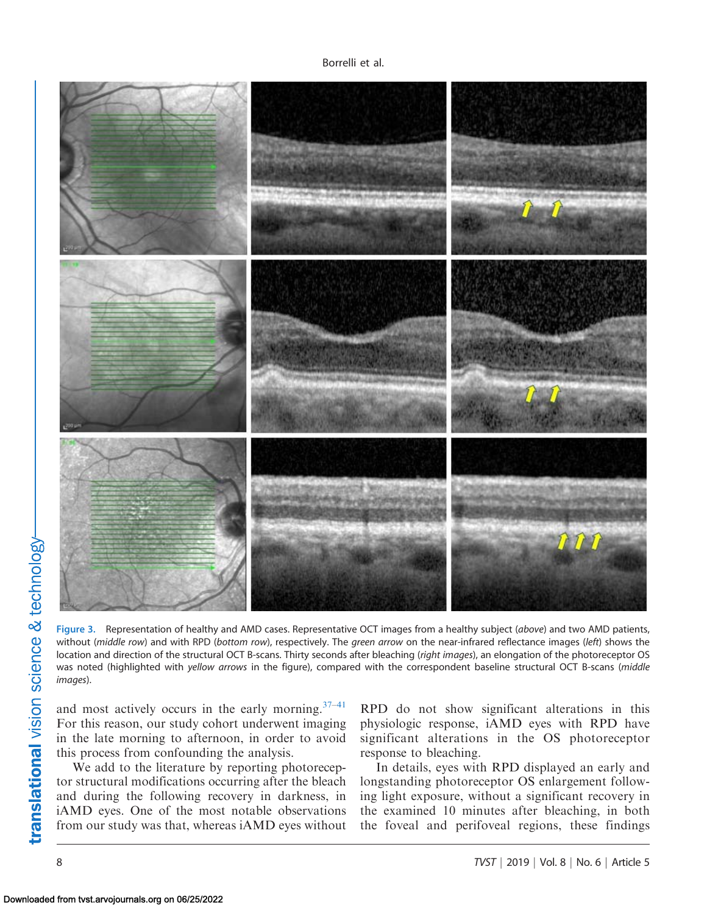<span id="page-7-0"></span>

translational vision science & technology images).

Figure 3. Representation of healthy and AMD cases. Representative OCT images from a healthy subject (above) and two AMD patients, without (middle row) and with RPD (bottom row), respectively. The green arrow on the near-infrared reflectance images (left) shows the location and direction of the structural OCT B-scans. Thirty seconds after bleaching (right images), an elongation of the photoreceptor OS was noted (highlighted with yellow arrows in the figure), compared with the correspondent baseline structural OCT B-scans (middle

and most actively occurs in the early morning. $37-41$ For this reason, our study cohort underwent imaging in the late morning to afternoon, in order to avoid this process from confounding the analysis.

We add to the literature by reporting photoreceptor structural modifications occurring after the bleach and during the following recovery in darkness, in iAMD eyes. One of the most notable observations from our study was that, whereas iAMD eyes without

RPD do not show significant alterations in this physiologic response, iAMD eyes with RPD have significant alterations in the OS photoreceptor response to bleaching.

In details, eyes with RPD displayed an early and longstanding photoreceptor OS enlargement following light exposure, without a significant recovery in the examined 10 minutes after bleaching, in both the foveal and perifoveal regions, these findings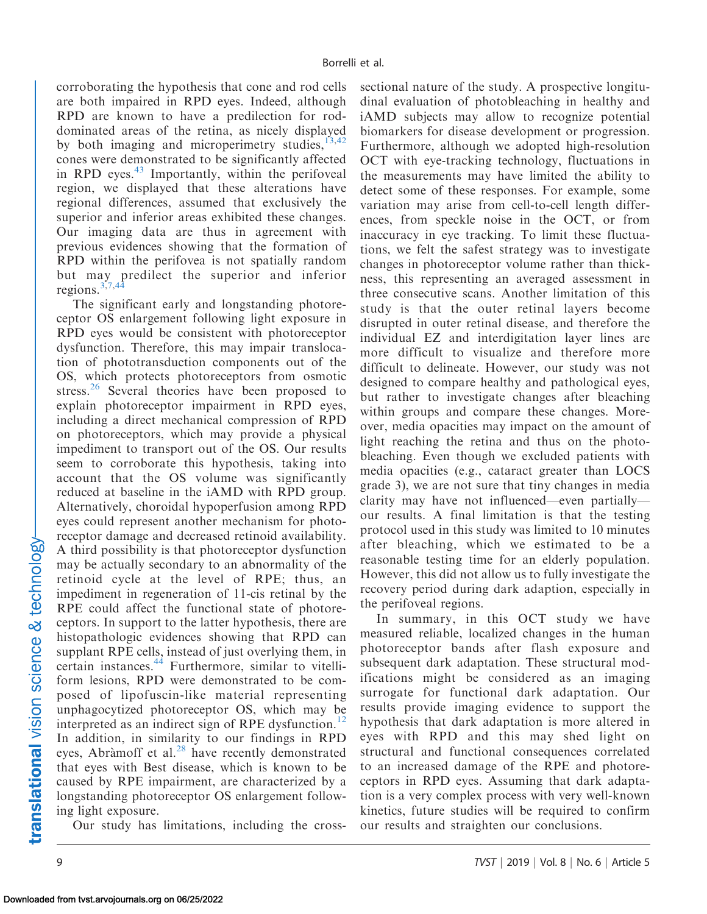corroborating the hypothesis that cone and rod cells are both impaired in RPD eyes. Indeed, although RPD are known to have a predilection for roddominated areas of the retina, as nicely displayed by both imaging and microperimetry studies,  $13,42$  $13,42$  $13,42$ cones were demonstrated to be significantly affected in RPD eyes. $43$  Importantly, within the perifoveal region, we displayed that these alterations have regional differences, assumed that exclusively the superior and inferior areas exhibited these changes. Our imaging data are thus in agreement with previous evidences showing that the formation of RPD within the perifovea is not spatially random but may predilect the superior and inferior regions.[3,7](#page-9-0),[44](#page-10-0)

The significant early and longstanding photoreceptor OS enlargement following light exposure in RPD eyes would be consistent with photoreceptor dysfunction. Therefore, this may impair translocation of phototransduction components out of the OS, which protects photoreceptors from osmotic stress.<sup>[26](#page-10-0)</sup> Several theories have been proposed to explain photoreceptor impairment in RPD eyes, including a direct mechanical compression of RPD on photoreceptors, which may provide a physical impediment to transport out of the OS. Our results seem to corroborate this hypothesis, taking into account that the OS volume was significantly reduced at baseline in the iAMD with RPD group. Alternatively, choroidal hypoperfusion among RPD eyes could represent another mechanism for photoreceptor damage and decreased retinoid availability. A third possibility is that photoreceptor dysfunction may be actually secondary to an abnormality of the retinoid cycle at the level of RPE; thus, an impediment in regeneration of 11-cis retinal by the RPE could affect the functional state of photoreceptors. In support to the latter hypothesis, there are histopathologic evidences showing that RPD can supplant RPE cells, instead of just overlying them, in certain instances.[44](#page-10-0) Furthermore, similar to vitelliform lesions, RPD were demonstrated to be composed of lipofuscin-like material representing unphagocytized photoreceptor OS, which may be interpreted as an indirect sign of RPE dysfunction.<sup>[12](#page-9-0)</sup> In addition, in similarity to our findings in RPD eyes, Abràmoff et al. $^{28}$  $^{28}$  $^{28}$  have recently demonstrated that eyes with Best disease, which is known to be caused by RPE impairment, are characterized by a longstanding photoreceptor OS enlargement following light exposure.

Our study has limitations, including the cross-

sectional nature of the study. A prospective longitudinal evaluation of photobleaching in healthy and iAMD subjects may allow to recognize potential biomarkers for disease development or progression. Furthermore, although we adopted high-resolution OCT with eye-tracking technology, fluctuations in the measurements may have limited the ability to detect some of these responses. For example, some variation may arise from cell-to-cell length differences, from speckle noise in the OCT, or from inaccuracy in eye tracking. To limit these fluctuations, we felt the safest strategy was to investigate changes in photoreceptor volume rather than thickness, this representing an averaged assessment in three consecutive scans. Another limitation of this study is that the outer retinal layers become disrupted in outer retinal disease, and therefore the individual EZ and interdigitation layer lines are more difficult to visualize and therefore more difficult to delineate. However, our study was not designed to compare healthy and pathological eyes, but rather to investigate changes after bleaching within groups and compare these changes. Moreover, media opacities may impact on the amount of light reaching the retina and thus on the photobleaching. Even though we excluded patients with media opacities (e.g., cataract greater than LOCS grade 3), we are not sure that tiny changes in media clarity may have not influenced—even partially our results. A final limitation is that the testing protocol used in this study was limited to 10 minutes after bleaching, which we estimated to be a reasonable testing time for an elderly population. However, this did not allow us to fully investigate the recovery period during dark adaption, especially in the perifoveal regions.

In summary, in this OCT study we have measured reliable, localized changes in the human photoreceptor bands after flash exposure and subsequent dark adaptation. These structural modifications might be considered as an imaging surrogate for functional dark adaptation. Our results provide imaging evidence to support the hypothesis that dark adaptation is more altered in eyes with RPD and this may shed light on structural and functional consequences correlated to an increased damage of the RPE and photoreceptors in RPD eyes. Assuming that dark adaptation is a very complex process with very well-known kinetics, future studies will be required to confirm our results and straighten our conclusions.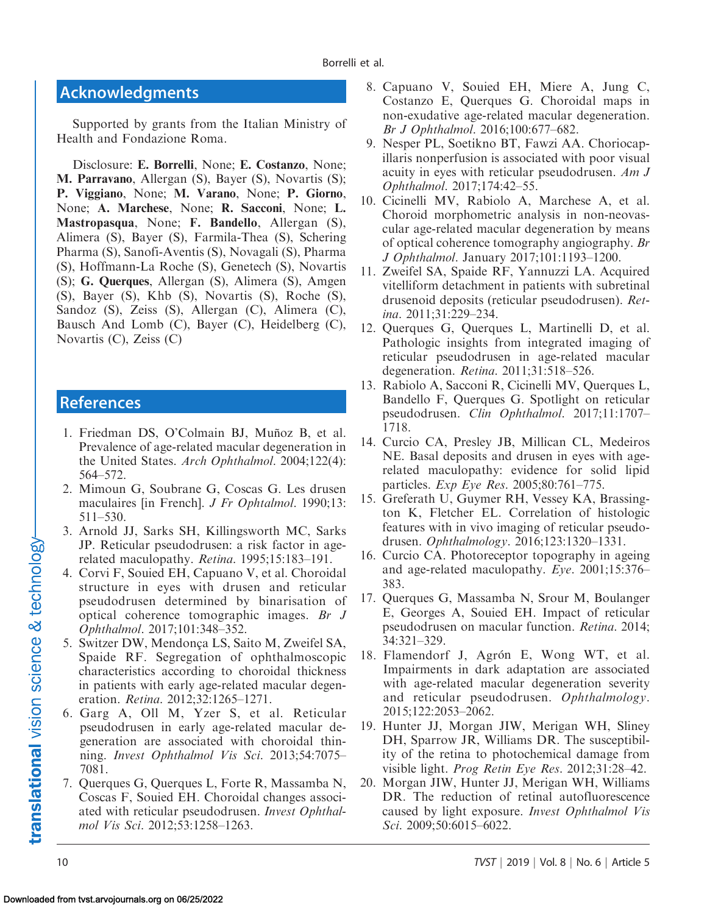# <span id="page-9-0"></span>Acknowledgments

Supported by grants from the Italian Ministry of Health and Fondazione Roma.

Disclosure: E. Borrelli, None; E. Costanzo, None; M. Parravano, Allergan (S), Bayer (S), Novartis (S); P. Viggiano, None; M. Varano, None; P. Giorno, None; A. Marchese, None; R. Sacconi, None; L. Mastropasqua, None; F. Bandello, Allergan (S), Alimera (S), Bayer (S), Farmila-Thea (S), Schering Pharma (S), Sanofi-Aventis (S), Novagali (S), Pharma (S), Hoffmann-La Roche (S), Genetech (S), Novartis (S); G. Querques, Allergan (S), Alimera (S), Amgen (S), Bayer (S), Khb (S), Novartis (S), Roche (S), Sandoz (S), Zeiss (S), Allergan (C), Alimera (C), Bausch And Lomb (C), Bayer (C), Heidelberg (C), Novartis (C), Zeiss (C)

# References

- 1. Friedman DS, O'Colmain BJ, Muñoz B, et al. Prevalence of age-related macular degeneration in the United States. Arch Ophthalmol. 2004;122(4): 564–572.
- 2. Mimoun G, Soubrane G, Coscas G. Les drusen maculaires [in French]. *J Fr Ophtalmol*. 1990;13: 511–530.
- 3. Arnold JJ, Sarks SH, Killingsworth MC, Sarks JP. Reticular pseudodrusen: a risk factor in agerelated maculopathy. Retina. 1995;15:183–191.
- 4. Corvi F, Souied EH, Capuano V, et al. Choroidal structure in eyes with drusen and reticular pseudodrusen determined by binarisation of optical coherence tomographic images. Br J Ophthalmol. 2017;101:348–352.
- 5. Switzer DW, Mendonça LS, Saito M, Zweifel SA, Spaide RF. Segregation of ophthalmoscopic characteristics according to choroidal thickness in patients with early age-related macular degeneration. Retina. 2012;32:1265–1271.
- 6. Garg A, Oll M, Yzer S, et al. Reticular pseudodrusen in early age-related macular degeneration are associated with choroidal thinning. Invest Ophthalmol Vis Sci. 2013;54:7075– 7081.
- 7. Querques G, Querques L, Forte R, Massamba N, Coscas F, Souied EH. Choroidal changes associated with reticular pseudodrusen. Invest Ophthalmol Vis Sci. 2012;53:1258–1263.
- 8. Capuano V, Souied EH, Miere A, Jung C, Costanzo E, Querques G. Choroidal maps in non-exudative age-related macular degeneration. Br J Ophthalmol. 2016;100:677–682.
- 9. Nesper PL, Soetikno BT, Fawzi AA. Choriocapillaris nonperfusion is associated with poor visual acuity in eyes with reticular pseudodrusen. Am J Ophthalmol. 2017;174:42–55.
- 10. Cicinelli MV, Rabiolo A, Marchese A, et al. Choroid morphometric analysis in non-neovascular age-related macular degeneration by means of optical coherence tomography angiography. Br J Ophthalmol. January 2017;101:1193–1200.
- 11. Zweifel SA, Spaide RF, Yannuzzi LA. Acquired vitelliform detachment in patients with subretinal drusenoid deposits (reticular pseudodrusen). Retina. 2011;31:229–234.
- 12. Querques G, Querques L, Martinelli D, et al. Pathologic insights from integrated imaging of reticular pseudodrusen in age-related macular degeneration. Retina. 2011;31:518–526.
- 13. Rabiolo A, Sacconi R, Cicinelli MV, Querques L, Bandello F, Querques G. Spotlight on reticular pseudodrusen. Clin Ophthalmol. 2017;11:1707– 1718.
- 14. Curcio CA, Presley JB, Millican CL, Medeiros NE. Basal deposits and drusen in eyes with agerelated maculopathy: evidence for solid lipid particles. Exp Eye Res. 2005;80:761–775.
- 15. Greferath U, Guymer RH, Vessey KA, Brassington K, Fletcher EL. Correlation of histologic features with in vivo imaging of reticular pseudodrusen. Ophthalmology. 2016;123:1320–1331.
- 16. Curcio CA. Photoreceptor topography in ageing and age-related maculopathy. Eye. 2001;15:376– 383.
- 17. Querques G, Massamba N, Srour M, Boulanger E, Georges A, Souied EH. Impact of reticular pseudodrusen on macular function. Retina. 2014; 34:321–329.
- 18. Flamendorf J, Agrón E, Wong WT, et al. Impairments in dark adaptation are associated with age-related macular degeneration severity and reticular pseudodrusen. Ophthalmology. 2015;122:2053–2062.
- 19. Hunter JJ, Morgan JIW, Merigan WH, Sliney DH, Sparrow JR, Williams DR. The susceptibility of the retina to photochemical damage from visible light. Prog Retin Eye Res. 2012;31:28–42.
- 20. Morgan JIW, Hunter JJ, Merigan WH, Williams DR. The reduction of retinal autofluorescence caused by light exposure. Invest Ophthalmol Vis Sci. 2009;50:6015–6022.